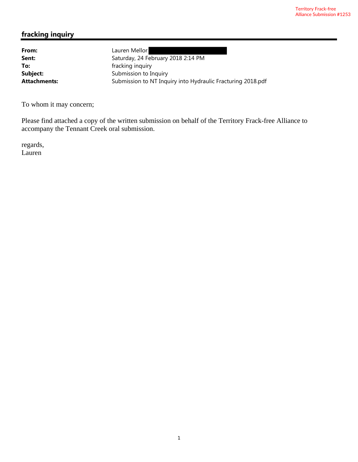## **fracking inquiry**

**From:** Lauren Mellor

**Sent:** Saturday, 24 February 2018 2:14 PM **To:** fracking inquiry **Subject:** Submission to Inquiry Attachments: Submission to NT Inquiry into Hydraulic Fracturing 2018.pdf

To whom it may concern;

Please find attached a copy of the written submission on behalf of the Territory Frack-free Alliance to accompany the Tennant Creek oral submission.

regards, Lauren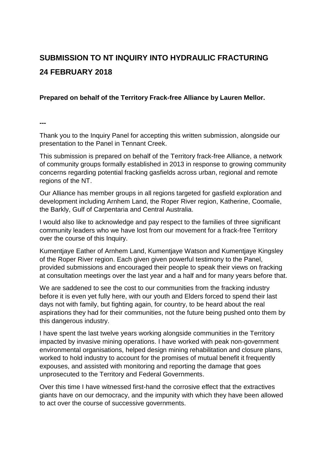# **SUBMISSION TO NT INQUIRY INTO HYDRAULIC FRACTURING 24 FEBRUARY 2018**

#### **Prepared on behalf of the Territory Frack-free Alliance by Lauren Mellor.**

**---**

Thank you to the Inquiry Panel for accepting this written submission, alongside our presentation to the Panel in Tennant Creek.

This submission is prepared on behalf of the Territory frack-free Alliance, a network of community groups formally established in 2013 in response to growing community concerns regarding potential fracking gasfields across urban, regional and remote regions of the NT.

Our Alliance has member groups in all regions targeted for gasfield exploration and development including Arnhem Land, the Roper River region, Katherine, Coomalie, the Barkly, Gulf of Carpentaria and Central Australia.

I would also like to acknowledge and pay respect to the families of three significant community leaders who we have lost from our movement for a frack-free Territory over the course of this Inquiry.

Kumentjaye Eather of Arnhem Land, Kumentjaye Watson and Kumentjaye Kingsley of the Roper River region. Each given given powerful testimony to the Panel, provided submissions and encouraged their people to speak their views on fracking at consultation meetings over the last year and a half and for many years before that.

We are saddened to see the cost to our communities from the fracking industry before it is even yet fully here, with our youth and Elders forced to spend their last days not with family, but fighting again, for country, to be heard about the real aspirations they had for their communities, not the future being pushed onto them by this dangerous industry.

I have spent the last twelve years working alongside communities in the Territory impacted by invasive mining operations. I have worked with peak non-government environmental organisations, helped design mining rehabilitation and closure plans, worked to hold industry to account for the promises of mutual benefit it frequently expouses, and assisted with monitoring and reporting the damage that goes unprosecuted to the Territory and Federal Governments.

Over this time I have witnessed first-hand the corrosive effect that the extractives giants have on our democracy, and the impunity with which they have been allowed to act over the course of successive governments.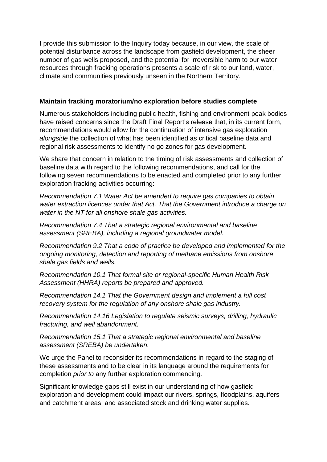I provide this submission to the Inquiry today because, in our view, the scale of potential disturbance across the landscape from gasfield development, the sheer number of gas wells proposed, and the potential for irreversible harm to our water resources through fracking operations presents a scale of risk to our land, water, climate and communities previously unseen in the Northern Territory.

### **Maintain fracking moratorium/no exploration before studies complete**

Numerous stakeholders including public health, fishing and environment peak bodies have raised concerns since the Draft Final Report's release that, in its current form, recommendations would allow for the continuation of intensive gas exploration *alongside* the collection of what has been identified as critical baseline data and regional risk assessments to identify no go zones for gas development.

We share that concern in relation to the timing of risk assessments and collection of baseline data with regard to the following recommendations, and call for the following seven recommendations to be enacted and completed prior to any further exploration fracking activities occurring:

*Recommendation 7.1 Water Act be amended to require gas companies to obtain water extraction licences under that Act. That the Government introduce a charge on water in the NT for all onshore shale gas activities.* 

*Recommendation 7.4 That a strategic regional environmental and baseline assessment (SREBA), including a regional groundwater model.* 

*Recommendation 9.2 That a code of practice be developed and implemented for the ongoing monitoring, detection and reporting of methane emissions from onshore shale gas fields and wells.* 

*Recommendation 10.1 That formal site or regional-specific Human Health Risk Assessment (HHRA) reports be prepared and approved.* 

*Recommendation 14.1 That the Government design and implement a full cost recovery system for the regulation of any onshore shale gas industry.* 

*Recommendation 14.16 Legislation to regulate seismic surveys, drilling, hydraulic fracturing, and well abandonment.* 

*Recommendation 15.1 That a strategic regional environmental and baseline assessment (SREBA) be undertaken.*

We urge the Panel to reconsider its recommendations in regard to the staging of these assessments and to be clear in its language around the requirements for completion *prior to* any further exploration commencing.

Significant knowledge gaps still exist in our understanding of how gasfield exploration and development could impact our rivers, springs, floodplains, aquifers and catchment areas, and associated stock and drinking water supplies.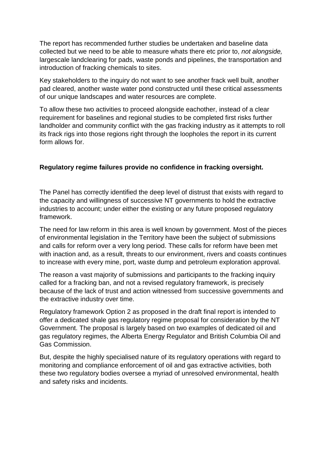The report has recommended further studies be undertaken and baseline data collected but we need to be able to measure whats there etc prior to, *not alongside,* largescale landclearing for pads, waste ponds and pipelines, the transportation and introduction of fracking chemicals to sites.

Key stakeholders to the inquiry do not want to see another frack well built, another pad cleared, another waste water pond constructed until these critical assessments of our unique landscapes and water resources are complete.

To allow these two activities to proceed alongside eachother, instead of a clear requirement for baselines and regional studies to be completed first risks further landholder and community conflict with the gas fracking industry as it attempts to roll its frack rigs into those regions right through the loopholes the report in its current form allows for.

## **Regulatory regime failures provide no confidence in fracking oversight.**

The Panel has correctly identified the deep level of distrust that exists with regard to the capacity and willingness of successive NT governments to hold the extractive industries to account; under either the existing or any future proposed regulatory framework.

The need for law reform in this area is well known by government. Most of the pieces of environmental legislation in the Territory have been the subject of submissions and calls for reform over a very long period. These calls for reform have been met with inaction and, as a result, threats to our environment, rivers and coasts continues to increase with every mine, port, waste dump and petroleum exploration approval.

The reason a vast majority of submissions and participants to the fracking inquiry called for a fracking ban, and not a revised regulatory framework, is precisely because of the lack of trust and action witnessed from successive governments and the extractive industry over time.

Regulatory framework Option 2 as proposed in the draft final report is intended to offer a dedicated shale gas regulatory regime proposal for consideration by the NT Government. The proposal is largely based on two examples of dedicated oil and gas regulatory regimes, the Alberta Energy Regulator and British Columbia Oil and Gas Commission.

But, despite the highly specialised nature of its regulatory operations with regard to monitoring and compliance enforcement of oil and gas extractive activities, both these two regulatory bodies oversee a myriad of unresolved environmental, health and safety risks and incidents.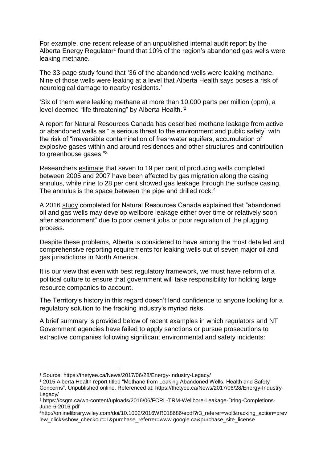For example, one recent release of an unpublished internal audit report by the Alberta Energy Regulator<sup>1</sup> found that 10% of the region's abandoned gas wells were leaking methane.

The 33-page study found that '36 of the abandoned wells were leaking methane. Nine of those wells were leaking at a level that Alberta Health says poses a risk of neurological damage to nearby residents.'

'Six of them were leaking methane at more than 10,000 parts per million (ppm), a level deemed "life threatening" by Alberta Health.<sup>'2</sup>

A report for Natural Resources Canada has described methane leakage from active or abandoned wells as " a serious threat to the environment and public safety" with the risk of "irreversible contamination of freshwater aquifers, accumulation of explosive gases within and around residences and other structures and contribution to greenhouse gases."<sup>3</sup>

Researchers estimate that seven to 19 per cent of producing wells completed between 2005 and 2007 have been affected by gas migration along the casing annulus, while nine to 28 per cent showed gas leakage through the surface casing. The annulus is the space between the pipe and drilled rock.<sup>4</sup>

A 2016 study completed for Natural Resources Canada explained that "abandoned oil and gas wells may develop wellbore leakage either over time or relatively soon after abandonment" due to poor cement jobs or poor regulation of the plugging process.

Despite these problems, Alberta is considered to have among the most detailed and comprehensive reporting requirements for leaking wells out of seven major oil and gas jurisdictions in North America.

It is our view that even with best regulatory framework, we must have reform of a political culture to ensure that government will take responsibility for holding large resource companies to account.

The Territory's history in this regard doesn't lend confidence to anyone looking for a regulatory solution to the fracking industry's myriad risks.

A brief summary is provided below of recent examples in which regulators and NT Government agencies have failed to apply sanctions or pursue prosecutions to extractive companies following significant environmental and safety incidents:

1

<sup>1</sup> Source: https://thetyee.ca/News/2017/06/28/Energy-Industry-Legacy/

<sup>&</sup>lt;sup>2</sup> 2015 Alberta Health report titled "Methane from Leaking Abandoned Wells: Health and Safety Concerns". Unpublished online. Referenced at: https://thetyee.ca/News/2017/06/28/Energy-Industry-

Legacy/

<sup>3</sup> https://csgm.ca/wp-content/uploads/2016/06/FCRL-TRM-Wellbore-Leakage-Drlng-Completions-June-6-2016.pdf

<sup>4</sup>http://onlinelibrary.wiley.com/doi/10.1002/2016WR018686/epdf?r3\_referer=wol&tracking\_action=prev iew\_click&show\_checkout=1&purchase\_referrer=www.google.ca&purchase\_site\_license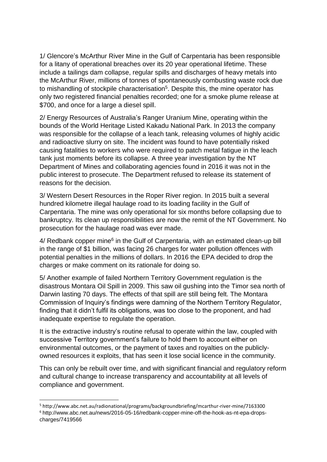1/ Glencore's McArthur River Mine in the Gulf of Carpentaria has been responsible for a litany of operational breaches over its 20 year operational lifetime. These include a tailings dam collapse, regular spills and discharges of heavy metals into the McArthur River, millions of tonnes of spontaneously combusting waste rock due to mishandling of stockpile characterisation<sup>5</sup>. Despite this, the mine operator has only two registered financial penalties recorded; one for a smoke plume release at \$700, and once for a large a diesel spill.

2/ Energy Resources of Australia's Ranger Uranium Mine, operating within the bounds of the World Heritage Listed Kakadu National Park. In 2013 the company was responsible for the collapse of a leach tank, releasing volumes of highly acidic and radioactive slurry on site. The incident was found to have potentially risked causing fatalities to workers who were required to patch metal fatigue in the leach tank just moments before its collapse. A three year investigation by the NT Department of Mines and collaborating agencies found in 2016 it was not in the public interest to prosecute. The Department refused to release its statement of reasons for the decision.

3/ Western Desert Resources in the Roper River region. In 2015 built a several hundred kilometre illegal haulage road to its loading facility in the Gulf of Carpentaria. The mine was only operational for six months before collapsing due to bankruptcy. Its clean up responsibilities are now the remit of the NT Government. No prosecution for the haulage road was ever made.

4/ Redbank copper mine<sup>6</sup> in the Gulf of Carpentaria, with an estimated clean-up bill in the range of \$1 billion, was facing 26 charges for water pollution offences with potential penalties in the millions of dollars. In 2016 the EPA decided to drop the charges or make comment on its rationale for doing so.

5/ Another example of failed Northern Territory Government regulation is the disastrous Montara Oil Spill in 2009. This saw oil gushing into the Timor sea north of Darwin lasting 70 days. The effects of that spill are still being felt. The Montara Commission of Inquiry's findings were damning of the Northern Territory Regulator, finding that it didn't fulfil its obligations, was too close to the proponent, and had inadequate expertise to regulate the operation.

It is the extractive industry's routine refusal to operate within the law, coupled with successive Territory government's failure to hold them to account either on environmental outcomes, or the payment of taxes and royalties on the publiclyowned resources it exploits, that has seen it lose social licence in the community.

This can only be rebuilt over time, and with significant financial and regulatory reform and cultural change to increase transparency and accountability at all levels of compliance and government.

**.** 

<sup>5</sup> http://www.abc.net.au/radionational/programs/backgroundbriefing/mcarthur-river-mine/7163300 <sup>6</sup> http://www.abc.net.au/news/2016-05-16/redbank-copper-mine-off-the-hook-as-nt-epa-dropscharges/7419566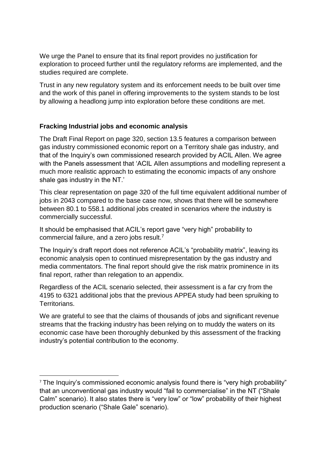We urge the Panel to ensure that its final report provides no justification for exploration to proceed further until the regulatory reforms are implemented, and the studies required are complete.

Trust in any new regulatory system and its enforcement needs to be built over time and the work of this panel in offering improvements to the system stands to be lost by allowing a headlong jump into exploration before these conditions are met.

## **Fracking Industrial jobs and economic analysis**

**.** 

The Draft Final Report on page 320, section 13.5 features a comparison between gas industry commissioned economic report on a Territory shale gas industry, and that of the Inquiry's own commissioned research provided by ACIL Allen. We agree with the Panels assessment that 'ACIL Allen assumptions and modelling represent a much more realistic approach to estimating the economic impacts of any onshore shale gas industry in the NT.'

This clear representation on page 320 of the full time equivalent additional number of jobs in 2043 compared to the base case now, shows that there will be somewhere between 80.1 to 558.1 additional jobs created in scenarios where the industry is commercially successful.

It should be emphasised that ACIL's report gave "very high" probability to commercial failure, and a zero jobs result.<sup>7</sup>

The Inquiry's draft report does not reference ACIL's "probability matrix", leaving its economic analysis open to continued misrepresentation by the gas industry and media commentators. The final report should give the risk matrix prominence in its final report, rather than relegation to an appendix.

Regardless of the ACIL scenario selected, their assessment is a far cry from the 4195 to 6321 additional jobs that the previous APPEA study had been spruiking to Territorians.

We are grateful to see that the claims of thousands of jobs and significant revenue streams that the fracking industry has been relying on to muddy the waters on its economic case have been thoroughly debunked by this assessment of the fracking industry's potential contribution to the economy.

<sup>7</sup> The Inquiry's commissioned economic analysis found there is "very high probability" that an unconventional gas industry would "fail to commercialise" in the NT ("Shale Calm" scenario). It also states there is "very low" or "low" probability of their highest production scenario ("Shale Gale" scenario).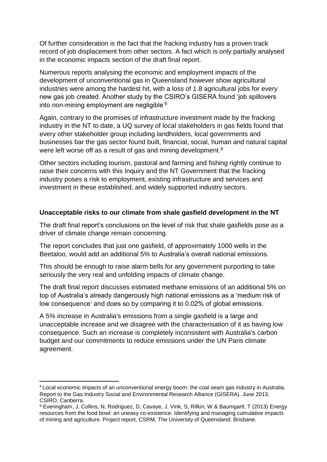Of further consideration is the fact that the fracking industry has a proven track record of job displacement from other sectors. A fact which is only partially analysed in the economic impacts section of the draft final report.

Numerous reports analysing the economic and employment impacts of the development of unconventional gas in Queensland however show agricultural industries were among the hardest hit, with a loss of 1.8 agricultural jobs for every new gas job created. Another study by the CSIRO's GISERA found 'job spillovers into non-mining employment are negligible'<sup>8</sup>

Again, contrary to the promises of infrastructure investment made by the fracking industry in the NT to date, a UQ survey of local stakeholders in gas fields found that every other stakeholder group including landholders, local governments and businesses bar the gas sector found built, financial, social, human and natural capital were left worse off as a result of gas and mining development.<sup>9</sup>

Other sectors including tourism, pastoral and farming and fishing rightly continue to raise their concerns with this Inquiry and the NT Government that the fracking industry poses a risk to employment, existing infrastructure and services and investment in these established, and widely supported industry sectors.

#### **Unacceptable risks to our climate from shale gasfield development in the NT**

The draft final report's conclusions on the level of risk that shale gasfields pose as a driver of climate change remain concerning.

The report concludes that just one gasfield, of approximately 1000 wells in the Beetaloo, would add an additional 5% to Australia's overall national emissions.

This should be enough to raise alarm bells for any government purporting to take seriously the very real and unfolding impacts of climate change.

The draft final report discusses estimated methane emissions of an additional 5% on top of Australia's already dangerously high national emissions as a 'medium risk of low consequence' and does so by comparing it to 0.02% of global emissions.

A 5% increase in Australia's emissions from a single gasfield is a large and unacceptable increase and we disagree with the characterisation of it as having low consequence. Such an increase is completely inconsistent with Australia's carbon budget and our commitments to reduce emissions under the UN Paris climate agreement.

**.** 

<sup>8</sup> Local economic impacts of an unconventional energy boom: the coal seam gas industry in Australia. Report to the Gas Industry Social and Environmental Research Alliance (GISERA). June 2013. CSIRO, Canberra.

<sup>9</sup> Everingham, J, Collins, N, Rodriguez, D, Cavaye, J, Vink, S, Rifkin, W & Baumgartl, T (2013) Energy resources from the food bowl: an uneasy co-existence. Identifying and managing cumulative impacts of mining and agriculture. Project report, CSRM, The University of Queensland: Brisbane.